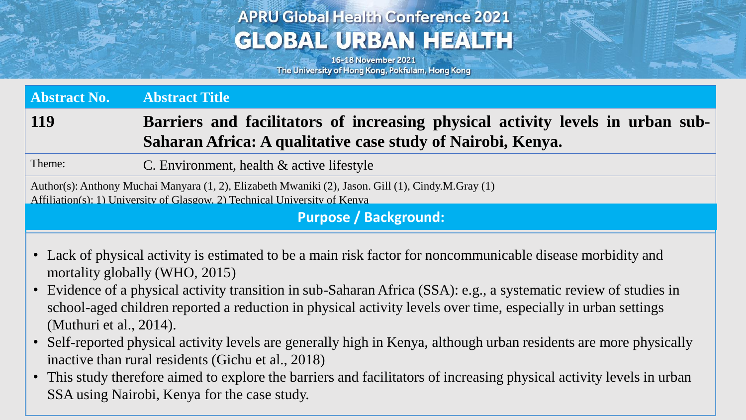# **APRU Global Health Conference 2021 GLOBAL URBAN HEALTH**

16-18 November 2021 The University of Hong Kong, Pokfulam, Hong Kong

Approximate the

**Abstract No. Abstract Title 119 Barriers and facilitators of increasing physical activity levels in urban sub-Saharan Africa: A qualitative case study of Nairobi, Kenya.**

Theme: C. Environment, health & active lifestyle

Author(s): Anthony Muchai Manyara (1, 2), Elizabeth Mwaniki (2), Jason. Gill (1), Cindy.M.Gray (1) Affiliation(s): 1) University of Glasgow, 2) Technical University of Kenya

**Purpose / Background:**

- Lack of physical activity is estimated to be a main risk factor for noncommunicable disease morbidity and mortality globally (WHO, 2015)
- Evidence of a physical activity transition in sub-Saharan Africa (SSA): e.g., a systematic review of studies in school-aged children reported a reduction in physical activity levels over time, especially in urban settings (Muthuri et al., 2014).
- Self-reported physical activity levels are generally high in Kenya, although urban residents are more physically inactive than rural residents (Gichu et al., 2018)
- This study therefore aimed to explore the barriers and facilitators of increasing physical activity levels in urban SSA using Nairobi, Kenya for the case study.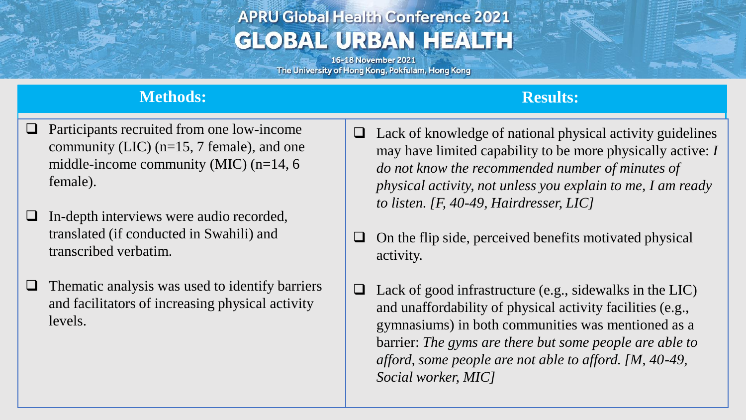## **APRU Global Health Conference 2021 GLOBAL URBAN HEALTH**

16-18 November 2021 The University of Hong Kong, Pokfulam, Hong Kong

### **Methods: Results:**

- ❑ Participants recruited from one low-income community (LIC) (n=15, 7 female), and one middle-income community (MIC) (n=14, 6 female).
- ❑ In-depth interviews were audio recorded, translated (if conducted in Swahili) and transcribed verbatim.
- $\Box$  Thematic analysis was used to identify barriers and facilitators of increasing physical activity levels.
- $\Box$  Lack of knowledge of national physical activity guidelines may have limited capability to be more physically active: *I do not know the recommended number of minutes of physical activity, not unless you explain to me, I am ready to listen. [F, 40-49, Hairdresser, LIC]*
- ❑ On the flip side, perceived benefits motivated physical activity.
- $\Box$  Lack of good infrastructure (e.g., sidewalks in the LIC) and unaffordability of physical activity facilities (e.g., gymnasiums) in both communities was mentioned as a barrier: *The gyms are there but some people are able to afford, some people are not able to afford. [M, 40-49, Social worker, MIC]*